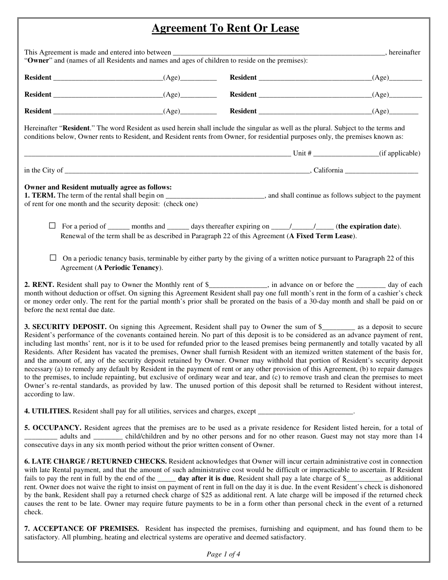## **Agreement To Rent Or Lease**

|                                                                                                              |  |                                                                                                                                                                                                                                                                        | (Age) |  |
|--------------------------------------------------------------------------------------------------------------|--|------------------------------------------------------------------------------------------------------------------------------------------------------------------------------------------------------------------------------------------------------------------------|-------|--|
|                                                                                                              |  | Resident (Age) Resident (Age) Resident (Age) (Age) (Age) (Age) (Age) (Age) (Age) (Age) (Age) (Age) (Age) (Age) (Age) (Age) (Age) (Age) (Age) (Age) (Age) (Age) (Age) (Age) (Age) (Age) (Age) (Age) (Age) (Age) (Age) (Age) (Ag                                         |       |  |
|                                                                                                              |  | Hereinafter "Resident." The word Resident as used herein shall include the singular as well as the plural. Subject to the terms and<br>conditions below, Owner rents to Resident, and Resident rents from Owner, for residential purposes only, the premises known as: |       |  |
|                                                                                                              |  |                                                                                                                                                                                                                                                                        |       |  |
| Owner and Resident mutually agree as follows:<br>of rent for one month and the security deposit: (check one) |  | <b>1. TERM.</b> The term of the rental shall begin on _______________________________, and shall continue as follows subject to the payment                                                                                                                            |       |  |
| ப                                                                                                            |  | For a period of ________ months and _______ days thereafter expiring on ______/_______/(the expiration date).<br>Renewal of the term shall be as described in Paragraph 22 of this Agreement (A Fixed Term Lease).                                                     |       |  |
|                                                                                                              |  |                                                                                                                                                                                                                                                                        |       |  |

month without deduction or offset. On signing this Agreement Resident shall pay one full month's rent in the form of a cashier's check or money order only. The rent for the partial month's prior shall be prorated on the basis of a 30-day month and shall be paid on or before the next rental due date.

**3. SECURITY DEPOSIT.** On signing this Agreement, Resident shall pay to Owner the sum of \$\_\_\_\_\_\_\_\_ as a deposit to secure Resident's performance of the covenants contained herein. No part of this deposit is to be considered as an advance payment of rent, including last months' rent, nor is it to be used for refunded prior to the leased premises being permanently and totally vacated by all Residents. After Resident has vacated the premises, Owner shall furnish Resident with an itemized written statement of the basis for, and the amount of, any of the security deposit retained by Owner. Owner may withhold that portion of Resident's security deposit necessary (a) to remedy any default by Resident in the payment of rent or any other provision of this Agreement, (b) to repair damages to the premises, to include repainting, but exclusive of ordinary wear and tear, and (c) to remove trash and clean the premises to meet Owner's re-rental standards, as provided by law. The unused portion of this deposit shall be returned to Resident without interest, according to law.

**4. UTILITIES.** Resident shall pay for all utilities, services and charges, except  $\_\_$ 

**5. OCCUPANCY.** Resident agrees that the premises are to be used as a private residence for Resident listed herein, for a total of adults and \_\_\_\_\_\_\_ child/children and by no other persons and for no other reason. Guest may not stay more than 14 consecutive days in any six month period without the prior written consent of Owner.

**6. LATE CHARGE / RETURNED CHECKS.** Resident acknowledges that Owner will incur certain administrative cost in connection with late Rental payment, and that the amount of such administrative cost would be difficult or impracticable to ascertain. If Resident fails to pay the rent in full by the end of the \_\_\_\_\_ **day after it is due**, Resident shall pay a late charge of \$\_\_\_\_\_\_\_\_\_\_ as additional rent. Owner does not waive the right to insist on payment of rent in full on the day it is due. In the event Resident's check is dishonored by the bank, Resident shall pay a returned check charge of \$25 as additional rent. A late charge will be imposed if the returned check causes the rent to be late. Owner may require future payments to be in a form other than personal check in the event of a returned check.

**7. ACCEPTANCE OF PREMISES.** Resident has inspected the premises, furnishing and equipment, and has found them to be satisfactory. All plumbing, heating and electrical systems are operative and deemed satisfactory.

*Page 1 of 4*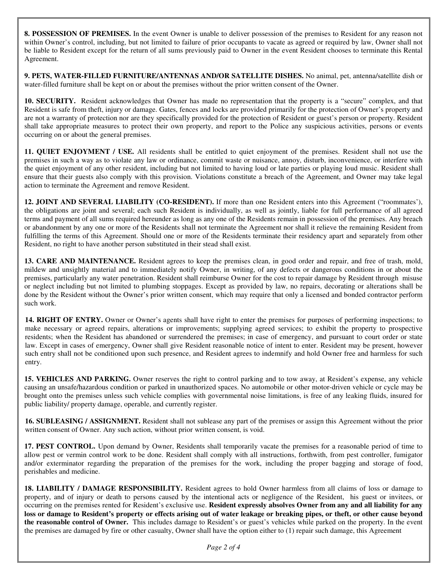**8. POSSESSION OF PREMISES.** In the event Owner is unable to deliver possession of the premises to Resident for any reason not within Owner's control, including, but not limited to failure of prior occupants to vacate as agreed or required by law, Owner shall not be liable to Resident except for the return of all sums previously paid to Owner in the event Resident chooses to terminate this Rental Agreement.

**9. PETS, WATER-FILLED FURNITURE/ANTENNAS AND/OR SATELLITE DISHES.** No animal, pet, antenna/satellite dish or water-filled furniture shall be kept on or about the premises without the prior written consent of the Owner.

**10. SECURITY.** Resident acknowledges that Owner has made no representation that the property is a "secure" complex, and that Resident is safe from theft, injury or damage. Gates, fences and locks are provided primarily for the protection of Owner's property and are not a warranty of protection nor are they specifically provided for the protection of Resident or guest's person or property. Resident shall take appropriate measures to protect their own property, and report to the Police any suspicious activities, persons or events occurring on or about the general premises.

**11. QUIET ENJOYMENT / USE.** All residents shall be entitled to quiet enjoyment of the premises. Resident shall not use the premises in such a way as to violate any law or ordinance, commit waste or nuisance, annoy, disturb, inconvenience, or interfere with the quiet enjoyment of any other resident, including but not limited to having loud or late parties or playing loud music. Resident shall ensure that their guests also comply with this provision. Violations constitute a breach of the Agreement, and Owner may take legal action to terminate the Agreement and remove Resident.

**12. JOINT AND SEVERAL LIABILITY (CO-RESIDENT).** If more than one Resident enters into this Agreement ("roommates'), the obligations are joint and several; each such Resident is individually, as well as jointly, liable for full performance of all agreed terms and payment of all sums required hereunder as long as any one of the Residents remain in possession of the premises. Any breach or abandonment by any one or more of the Residents shall not terminate the Agreement nor shall it relieve the remaining Resident from fulfilling the terms of this Agreement. Should one or more of the Residents terminate their residency apart and separately from other Resident, no right to have another person substituted in their stead shall exist.

**13. CARE AND MAINTENANCE.** Resident agrees to keep the premises clean, in good order and repair, and free of trash, mold, mildew and unsightly material and to immediately notify Owner, in writing, of any defects or dangerous conditions in or about the premises, particularly any water penetration. Resident shall reimburse Owner for the cost to repair damage by Resident through misuse or neglect including but not limited to plumbing stoppages. Except as provided by law, no repairs, decorating or alterations shall be done by the Resident without the Owner's prior written consent, which may require that only a licensed and bonded contractor perform such work.

**14. RIGHT OF ENTRY.** Owner or Owner's agents shall have right to enter the premises for purposes of performing inspections; to make necessary or agreed repairs, alterations or improvements; supplying agreed services; to exhibit the property to prospective residents; when the Resident has abandoned or surrendered the premises; in case of emergency, and pursuant to court order or state law. Except in cases of emergency, Owner shall give Resident reasonable notice of intent to enter. Resident may be present, however such entry shall not be conditioned upon such presence, and Resident agrees to indemnify and hold Owner free and harmless for such entry.

**15. VEHICLES AND PARKING.** Owner reserves the right to control parking and to tow away, at Resident's expense, any vehicle causing an unsafe/hazardous condition or parked in unauthorized spaces. No automobile or other motor-driven vehicle or cycle may be brought onto the premises unless such vehicle complies with governmental noise limitations, is free of any leaking fluids, insured for public liability/ property damage, operable, and currently register.

**16. SUBLEASING / ASSIGNMENT.** Resident shall not sublease any part of the premises or assign this Agreement without the prior written consent of Owner. Any such action, without prior written consent, is void.

**17. PEST CONTROL.** Upon demand by Owner, Residents shall temporarily vacate the premises for a reasonable period of time to allow pest or vermin control work to be done. Resident shall comply with all instructions, forthwith, from pest controller, fumigator and/or exterminator regarding the preparation of the premises for the work, including the proper bagging and storage of food, perishables and medicine.

**18. LIABILITY / DAMAGE RESPONSIBILITY.** Resident agrees to hold Owner harmless from all claims of loss or damage to property, and of injury or death to persons caused by the intentional acts or negligence of the Resident, his guest or invitees, or occurring on the premises rented for Resident's exclusive use. **Resident expressly absolves Owner from any and all liability for any loss or damage to Resident's property or effects arising out of water leakage or breaking pipes, or theft, or other cause beyond the reasonable control of Owner.** This includes damage to Resident's or guest's vehicles while parked on the property. In the event the premises are damaged by fire or other casualty, Owner shall have the option either to (1) repair such damage, this Agreement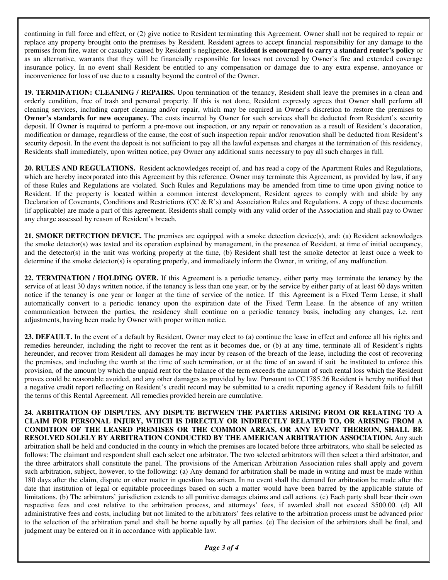continuing in full force and effect, or (2) give notice to Resident terminating this Agreement. Owner shall not be required to repair or replace any property brought onto the premises by Resident. Resident agrees to accept financial responsibility for any damage to the premises from fire, water or casualty caused by Resident's negligence. **Resident is encouraged to carry a standard renter's policy** or as an alternative, warrants that they will be financially responsible for losses not covered by Owner's fire and extended coverage insurance policy. In no event shall Resident be entitled to any compensation or damage due to any extra expense, annoyance or inconvenience for loss of use due to a casualty beyond the control of the Owner.

**19. TERMINATION: CLEANING / REPAIRS.** Upon termination of the tenancy, Resident shall leave the premises in a clean and orderly condition, free of trash and personal property. If this is not done, Resident expressly agrees that Owner shall perform all cleaning services, including carpet cleaning and/or repair, which may be required in Owner's discretion to restore the premises to **Owner's standards for new occupancy.** The costs incurred by Owner for such services shall be deducted from Resident's security deposit. If Owner is required to perform a pre-move out inspection, or any repair or renovation as a result of Resident's decoration, modification or damage, regardless of the cause, the cost of such inspection repair and/or renovation shall be deducted from Resident's security deposit. In the event the deposit is not sufficient to pay all the lawful expenses and charges at the termination of this residency, Residents shall immediately, upon written notice, pay Owner any additional sums necessary to pay all such charges in full.

**20. RULES AND REGULATIONS.** Resident acknowledges receipt of, and has read a copy of the Apartment Rules and Regulations, which are hereby incorporated into this Agreement by this reference. Owner may terminate this Agreement, as provided by law, if any of these Rules and Regulations are violated. Such Rules and Regulations may be amended from time to time upon giving notice to Resident. If the property is located within a common interest development, Resident agrees to comply with and abide by any Declaration of Covenants, Conditions and Restrictions (CC & R's) and Association Rules and Regulations. A copy of these documents (if applicable) are made a part of this agreement. Residents shall comply with any valid order of the Association and shall pay to Owner any charge assessed by reason of Resident's breach.

**21. SMOKE DETECTION DEVICE.** The premises are equipped with a smoke detection device(s), and: (a) Resident acknowledges the smoke detector(s) was tested and its operation explained by management, in the presence of Resident, at time of initial occupancy, and the detector(s) in the unit was working properly at the time, (b) Resident shall test the smoke detector at least once a week to determine if the smoke detector(s) is operating properly, and immediately inform the Owner, in writing, of any malfunction.

**22. TERMINATION / HOLDING OVER.** If this Agreement is a periodic tenancy, either party may terminate the tenancy by the service of at least 30 days written notice, if the tenancy is less than one year, or by the service by either party of at least 60 days written notice if the tenancy is one year or longer at the time of service of the notice. If this Agreement is a Fixed Term Lease, it shall automatically convert to a periodic tenancy upon the expiration date of the Fixed Term Lease. In the absence of any written communication between the parties, the residency shall continue on a periodic tenancy basis, including any changes, i.e. rent adjustments, having been made by Owner with proper written notice.

**23. DEFAULT.** In the event of a default by Resident, Owner may elect to (a) continue the lease in effect and enforce all his rights and remedies hereunder, including the right to recover the rent as it becomes due, or (b) at any time, terminate all of Resident's rights hereunder, and recover from Resident all damages he may incur by reason of the breach of the lease, including the cost of recovering the premises, and including the worth at the time of such termination, or at the time of an award if suit be instituted to enforce this provision, of the amount by which the unpaid rent for the balance of the term exceeds the amount of such rental loss which the Resident proves could be reasonable avoided, and any other damages as provided by law. Pursuant to CC1785.26 Resident is hereby notified that a negative credit report reflecting on Resident's credit record may be submitted to a credit reporting agency if Resident fails to fulfill the terms of this Rental Agreement. All remedies provided herein are cumulative.

**24. ARBITRATION OF DISPUTES. ANY DISPUTE BETWEEN THE PARTIES ARISING FROM OR RELATING TO A CLAIM FOR PERSONAL INJURY, WHICH IS DIRECTLY OR INDIRECTLY RELATED TO, OR ARISING FROM A CONDITION OF THE LEASED PREMISES OR THE COMMON AREAS, OR ANY EVENT THEREON, SHALL BE RESOLVED SOLELY BY ARBITRATION CONDUCTED BY THE AMERICAN ARBITRATION ASSOCIATION.** Any such arbitration shall be held and conducted in the county in which the premises are located before three arbitrators, who shall be selected as follows: The claimant and respondent shall each select one arbitrator. The two selected arbitrators will then select a third arbitrator, and the three arbitrators shall constitute the panel. The provisions of the American Arbitration Association rules shall apply and govern such arbitration, subject, however, to the following: (a) Any demand for arbitration shall be made in writing and must be made within 180 days after the claim, dispute or other matter in question has arisen. In no event shall the demand for arbitration be made after the date that institution of legal or equitable proceedings based on such a matter would have been barred by the applicable statute of limitations. (b) The arbitrators' jurisdiction extends to all punitive damages claims and call actions. (c) Each party shall bear their own respective fees and cost relative to the arbitration process, and attorneys' fees, if awarded shall not exceed \$500.00. (d) All administrative fees and costs, including but not limited to the arbitrators' fees relative to the arbitration process must be advanced prior to the selection of the arbitration panel and shall be borne equally by all parties. (e) The decision of the arbitrators shall be final, and judgment may be entered on it in accordance with applicable law.